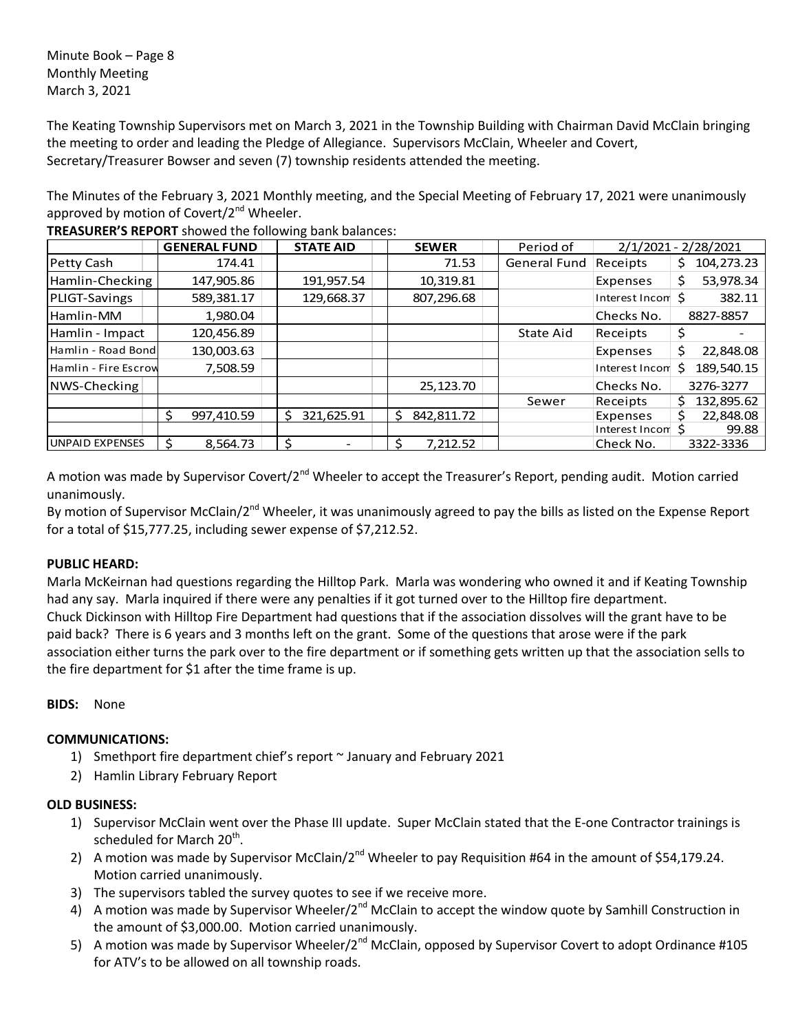Minute Book – Page 8 Monthly Meeting March 3, 2021

The Keating Township Supervisors met on March 3, 2021 in the Township Building with Chairman David McClain bringing the meeting to order and leading the Pledge of Allegiance. Supervisors McClain, Wheeler and Covert, Secretary/Treasurer Bowser and seven (7) township residents attended the meeting.

The Minutes of the February 3, 2021 Monthly meeting, and the Special Meeting of February 17, 2021 were unanimously approved by motion of Covert/ $2^{nd}$  Wheeler.

|                        |   | <b>GENERAL FUND</b> | <b>STATE AID</b> | <b>SEWER</b>    | Period of    | $2/1/2021 -$<br>2/28/2021 |                  |
|------------------------|---|---------------------|------------------|-----------------|--------------|---------------------------|------------------|
| Petty Cash             |   | 174.41              |                  | 71.53           | General Fund | Receipts                  | 104,273.23<br>S. |
| Hamlin-Checking        |   | 147,905.86          | 191,957.54       | 10,319.81       |              | Expenses                  | 53,978.34<br>\$  |
| PLIGT-Savings          |   | 589,381.17          | 129,668.37       | 807,296.68      |              | Interest Incom \$         | 382.11           |
| Hamlin-MM              |   | 1,980.04            |                  |                 |              | Checks No.                | 8827-8857        |
| Hamlin - Impact        |   | 120,456.89          |                  |                 | State Aid    | Receipts                  | S                |
| Hamlin - Road Bondl    |   | 130,003.63          |                  |                 |              | Expenses                  | 22,848.08<br>Ś   |
| Hamlin - Fire Escrow   |   | 7,508.59            |                  |                 |              | Interest Incon            | 189,540.15       |
| NWS-Checking           |   |                     |                  | 25,123.70       |              | Checks No.                | 3276-3277        |
|                        |   |                     |                  |                 | Sewer        | Receipts                  | 132,895.62       |
|                        | S | 997,410.59          | 321,625.91<br>S  | 842,811.72<br>Ŝ |              | Expenses                  | 22,848.08        |
|                        |   |                     |                  |                 |              | Interest Incom            | 99.88            |
| <b>UNPAID EXPENSES</b> |   | 8.564.73            |                  | 7.212.52        |              | Check No.                 | 3322-3336        |

**TREASURER'S REPORT** showed the following bank balances:

A motion was made by Supervisor Covert/2<sup>nd</sup> Wheeler to accept the Treasurer's Report, pending audit. Motion carried unanimously.

By motion of Supervisor McClain/2<sup>nd</sup> Wheeler, it was unanimously agreed to pay the bills as listed on the Expense Report for a total of \$15,777.25, including sewer expense of \$7,212.52.

# **PUBLIC HEARD:**

Marla McKeirnan had questions regarding the Hilltop Park. Marla was wondering who owned it and if Keating Township had any say. Marla inquired if there were any penalties if it got turned over to the Hilltop fire department. Chuck Dickinson with Hilltop Fire Department had questions that if the association dissolves will the grant have to be paid back? There is 6 years and 3 months left on the grant. Some of the questions that arose were if the park association either turns the park over to the fire department or if something gets written up that the association sells to the fire department for \$1 after the time frame is up.

## **BIDS:** None

# **COMMUNICATIONS:**

- 1) Smethport fire department chief's report  $\sim$  January and February 2021
- 2) Hamlin Library February Report

## **OLD BUSINESS:**

- 1) Supervisor McClain went over the Phase III update. Super McClain stated that the E-one Contractor trainings is scheduled for March 20<sup>th</sup>.
- 2) A motion was made by Supervisor McClain/2<sup>nd</sup> Wheeler to pay Requisition #64 in the amount of \$54,179.24. Motion carried unanimously.
- 3) The supervisors tabled the survey quotes to see if we receive more.
- 4) A motion was made by Supervisor Wheeler/2<sup>nd</sup> McClain to accept the window quote by Samhill Construction in the amount of \$3,000.00. Motion carried unanimously.
- 5) A motion was made by Supervisor Wheeler/2<sup>nd</sup> McClain, opposed by Supervisor Covert to adopt Ordinance #105 for ATV's to be allowed on all township roads.